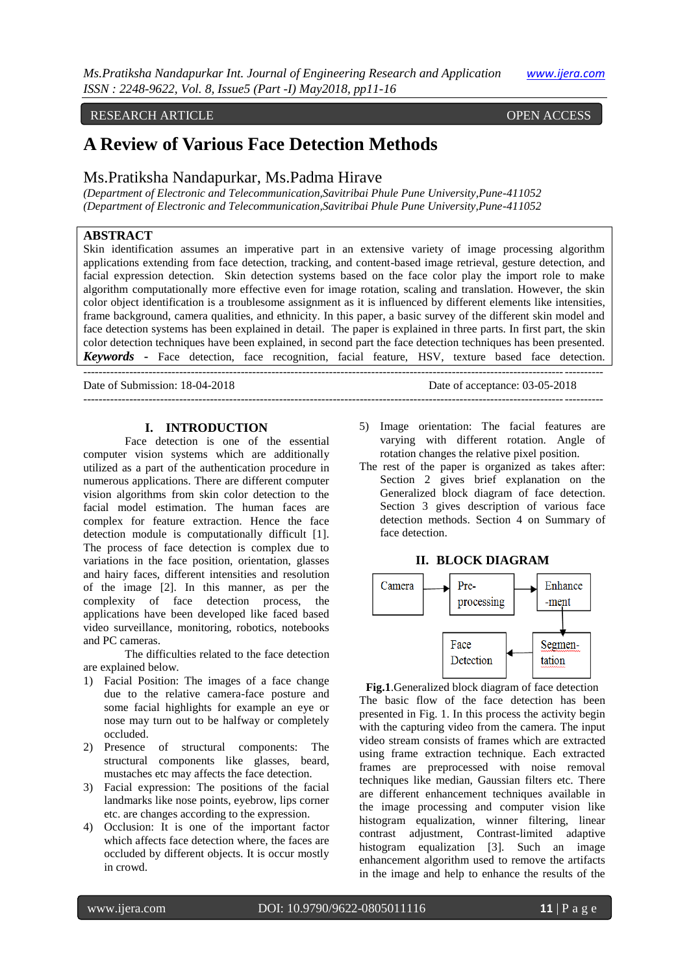# RESEARCH ARTICLE **ARTICLE** And the contract of the contract of the contract of the contract of the contract of the contract of the contract of the contract of the contract of the contract of the contract of the contract of

# **A Review of Various Face Detection Methods**

# Ms.Pratiksha Nandapurkar, Ms.Padma Hirave

*(Department of Electronic and Telecommunication,Savitribai Phule Pune University,Pune-411052 (Department of Electronic and Telecommunication,Savitribai Phule Pune University,Pune-411052*

# **ABSTRACT**

Skin identification assumes an imperative part in an extensive variety of image processing algorithm applications extending from face detection, tracking, and content-based image retrieval, gesture detection, and facial expression detection. Skin detection systems based on the face color play the import role to make algorithm computationally more effective even for image rotation, scaling and translation. However, the skin color object identification is a troublesome assignment as it is influenced by different elements like intensities, frame background, camera qualities, and ethnicity. In this paper, a basic survey of the different skin model and face detection systems has been explained in detail. The paper is explained in three parts. In first part, the skin color detection techniques have been explained, in second part the face detection techniques has been presented. *Keywords* **-** Face detection, face recognition, facial feature, HSV, texture based face detection.

--------------------------------------------------------------------------------------------------------------------------------------- Date of Submission: 18-04-2018 Date of acceptance: 03-05-2018 ---------------------------------------------------------------------------------------------------------------------------------------

# **I. INTRODUCTION**

Face detection is one of the essential computer vision systems which are additionally utilized as a part of the authentication procedure in numerous applications. There are different computer vision algorithms from skin color detection to the facial model estimation. The human faces are complex for feature extraction. Hence the face detection module is computationally difficult [1]. The process of face detection is complex due to variations in the face position, orientation, glasses and hairy faces, different intensities and resolution of the image [2]. In this manner, as per the complexity of face detection process, the applications have been developed like faced based video surveillance, monitoring, robotics, notebooks and PC cameras.

The difficulties related to the face detection are explained below.

- 1) Facial Position: The images of a face change due to the relative camera-face posture and some facial highlights for example an eye or nose may turn out to be halfway or completely occluded.
- 2) Presence of structural components: The structural components like glasses, beard, mustaches etc may affects the face detection.
- 3) Facial expression: The positions of the facial landmarks like nose points, eyebrow, lips corner etc. are changes according to the expression.
- 4) Occlusion: It is one of the important factor which affects face detection where, the faces are occluded by different objects. It is occur mostly in crowd.
- 5) Image orientation: The facial features are varying with different rotation. Angle of rotation changes the relative pixel position.
- The rest of the paper is organized as takes after: Section 2 gives brief explanation on the Generalized block diagram of face detection. Section 3 gives description of various face detection methods. Section 4 on Summary of face detection.

#### **II. BLOCK DIAGRAM**



**Fig.1**.Generalized block diagram of face detection The basic flow of the face detection has been presented in Fig. 1. In this process the activity begin with the capturing video from the camera. The input video stream consists of frames which are extracted using frame extraction technique. Each extracted frames are preprocessed with noise removal techniques like median, Gaussian filters etc. There are different enhancement techniques available in the image processing and computer vision like histogram equalization, winner filtering, linear contrast adjustment, Contrast-limited adaptive histogram equalization [3]. Such an image enhancement algorithm used to remove the artifacts in the image and help to enhance the results of the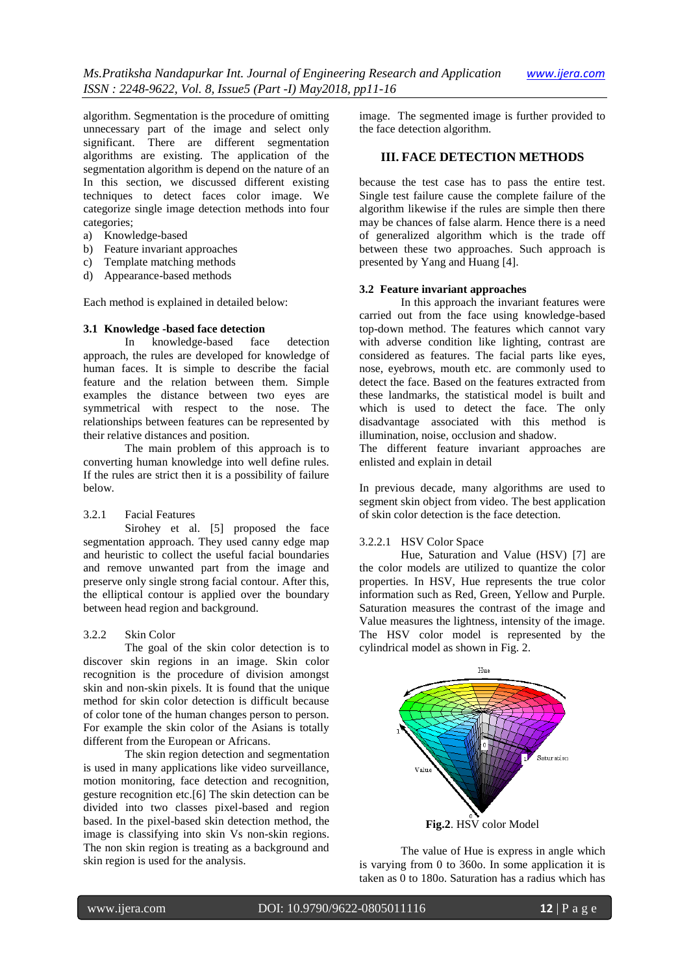algorithm. Segmentation is the procedure of omitting unnecessary part of the image and select only significant. There are different segmentation algorithms are existing. The application of the segmentation algorithm is depend on the nature of an In this section, we discussed different existing techniques to detect faces color image. We categorize single image detection methods into four categories;

- a) Knowledge-based
- b) Feature invariant approaches
- c) Template matching methods
- d) Appearance-based methods

Each method is explained in detailed below:

# **3.1 Knowledge -based face detection**

In knowledge-based face detection approach, the rules are developed for knowledge of human faces. It is simple to describe the facial feature and the relation between them. Simple examples the distance between two eyes are symmetrical with respect to the nose. The relationships between features can be represented by their relative distances and position.

The main problem of this approach is to converting human knowledge into well define rules. If the rules are strict then it is a possibility of failure below.

# 3.2.1 Facial Features

Sirohey et al. [5] proposed the face segmentation approach. They used canny edge map and heuristic to collect the useful facial boundaries and remove unwanted part from the image and preserve only single strong facial contour. After this, the elliptical contour is applied over the boundary between head region and background.

# 3.2.2 Skin Color

The goal of the skin color detection is to discover skin regions in an image. Skin color recognition is the procedure of division amongst skin and non-skin pixels. It is found that the unique method for skin color detection is difficult because of color tone of the human changes person to person. For example the skin color of the Asians is totally different from the European or Africans.

The skin region detection and segmentation is used in many applications like video surveillance, motion monitoring, face detection and recognition, gesture recognition etc.[6] The skin detection can be divided into two classes pixel-based and region based. In the pixel-based skin detection method, the image is classifying into skin Vs non-skin regions. The non skin region is treating as a background and skin region is used for the analysis.

image. The segmented image is further provided to the face detection algorithm.

# **III. FACE DETECTION METHODS**

because the test case has to pass the entire test. Single test failure cause the complete failure of the algorithm likewise if the rules are simple then there may be chances of false alarm. Hence there is a need of generalized algorithm which is the trade off between these two approaches. Such approach is presented by Yang and Huang [4].

# **3.2 Feature invariant approaches**

In this approach the invariant features were carried out from the face using knowledge-based top-down method. The features which cannot vary with adverse condition like lighting, contrast are considered as features. The facial parts like eyes, nose, eyebrows, mouth etc. are commonly used to detect the face. Based on the features extracted from these landmarks, the statistical model is built and which is used to detect the face. The only disadvantage associated with this method is illumination, noise, occlusion and shadow.

The different feature invariant approaches are enlisted and explain in detail

In previous decade, many algorithms are used to segment skin object from video. The best application of skin color detection is the face detection.

#### 3.2.2.1 HSV Color Space

Hue, Saturation and Value (HSV) [7] are the color models are utilized to quantize the color properties. In HSV, Hue represents the true color information such as Red, Green, Yellow and Purple. Saturation measures the contrast of the image and Value measures the lightness, intensity of the image. The HSV color model is represented by the cylindrical model as shown in Fig. 2.



The value of Hue is express in angle which is varying from 0 to 360o. In some application it is taken as 0 to 180o. Saturation has a radius which has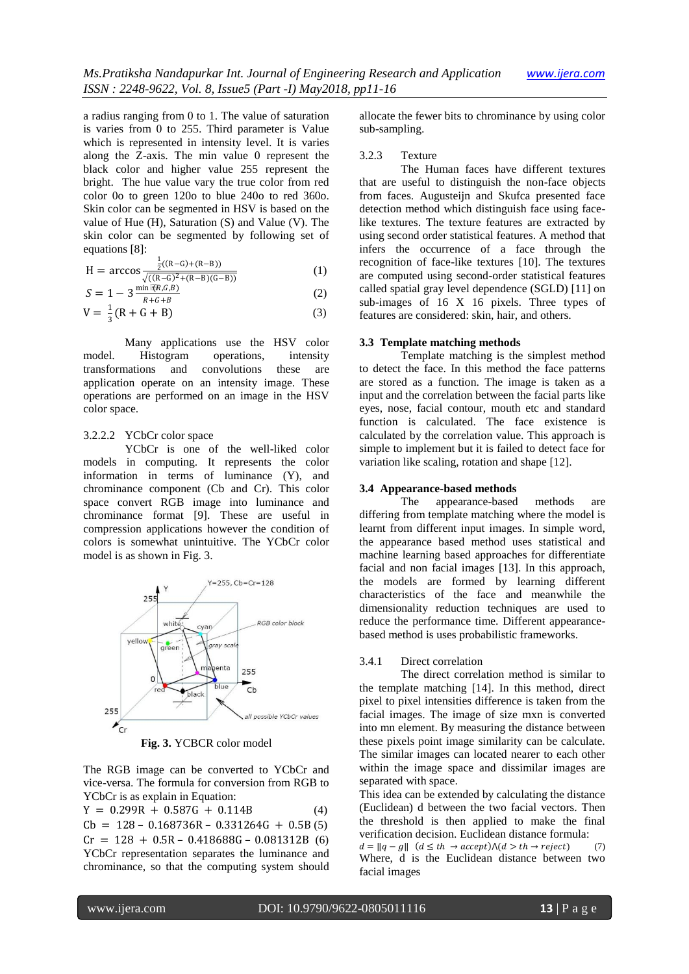a radius ranging from 0 to 1. The value of saturation is varies from 0 to 255. Third parameter is Value which is represented in intensity level. It is varies along the Z-axis. The min value 0 represent the black color and higher value 255 represent the bright. The hue value vary the true color from red color 0o to green 120o to blue 240o to red 360o. Skin color can be segmented in HSV is based on the value of Hue (H), Saturation (S) and Value (V). The skin color can be segmented by following set of equations [8]:

$$
H = \arccos \frac{\frac{1}{2}((R-G) + (R-B))}{\sqrt{((R-G)^2 + (R-B)(G-B))}}
$$
(1)

$$
S = 1 - 3 \frac{\min \overline{\mathbb{R}}(G,B)}{R + G + B} \tag{2}
$$

$$
V = \frac{1}{3}(R + G + B)
$$
 (3)

Many applications use the HSV color model. Histogram operations, intensity transformations and convolutions these are application operate on an intensity image. These operations are performed on an image in the HSV color space.

# 3.2.2.2 YCbCr color space

YCbCr is one of the well-liked color models in computing. It represents the color information in terms of luminance (Y), and chrominance component (Cb and Cr). This color space convert RGB image into luminance and chrominance format [9]. These are useful in compression applications however the condition of colors is somewhat unintuitive. The YCbCr color model is as shown in Fig. 3.



**Fig. 3.** YCBCR color model

The RGB image can be converted to YCbCr and vice-versa. The formula for conversion from RGB to YCbCr is as explain in Equation:

 $Y = 0.299R + 0.587G + 0.114B$  (4)  $Cb = 128 - 0.168736R - 0.331264G + 0.5B(5)$  $Cr = 128 + 0.5R - 0.418688G - 0.081312B$  (6) YCbCr representation separates the luminance and chrominance, so that the computing system should allocate the fewer bits to chrominance by using color sub-sampling.

#### 3.2.3 Texture

The Human faces have different textures that are useful to distinguish the non-face objects from faces. Augusteijn and Skufca presented face detection method which distinguish face using facelike textures. The texture features are extracted by using second order statistical features. A method that infers the occurrence of a face through the recognition of face-like textures [10]. The textures are computed using second-order statistical features called spatial gray level dependence (SGLD) [11] on sub-images of 16 X 16 pixels. Three types of features are considered: skin, hair, and others.

# **3.3 Template matching methods**

Template matching is the simplest method to detect the face. In this method the face patterns are stored as a function. The image is taken as a input and the correlation between the facial parts like eyes, nose, facial contour, mouth etc and standard function is calculated. The face existence is calculated by the correlation value. This approach is simple to implement but it is failed to detect face for variation like scaling, rotation and shape [12].

# **3.4 Appearance-based methods**

The appearance-based methods are differing from template matching where the model is learnt from different input images. In simple word, the appearance based method uses statistical and machine learning based approaches for differentiate facial and non facial images [13]. In this approach, the models are formed by learning different characteristics of the face and meanwhile the dimensionality reduction techniques are used to reduce the performance time. Different appearancebased method is uses probabilistic frameworks.

# 3.4.1 Direct correlation

The direct correlation method is similar to the template matching [14]. In this method, direct pixel to pixel intensities difference is taken from the facial images. The image of size mxn is converted into mn element. By measuring the distance between these pixels point image similarity can be calculate. The similar images can located nearer to each other within the image space and dissimilar images are separated with space.

This idea can be extended by calculating the distance (Euclidean) d between the two facial vectors. Then the threshold is then applied to make the final verification decision. Euclidean distance formula:  $d = ||q - g||$   $(d \leq th \rightarrow accept) \land (d > th \rightarrow reject)$  (7) Where, d is the Euclidean distance between two facial images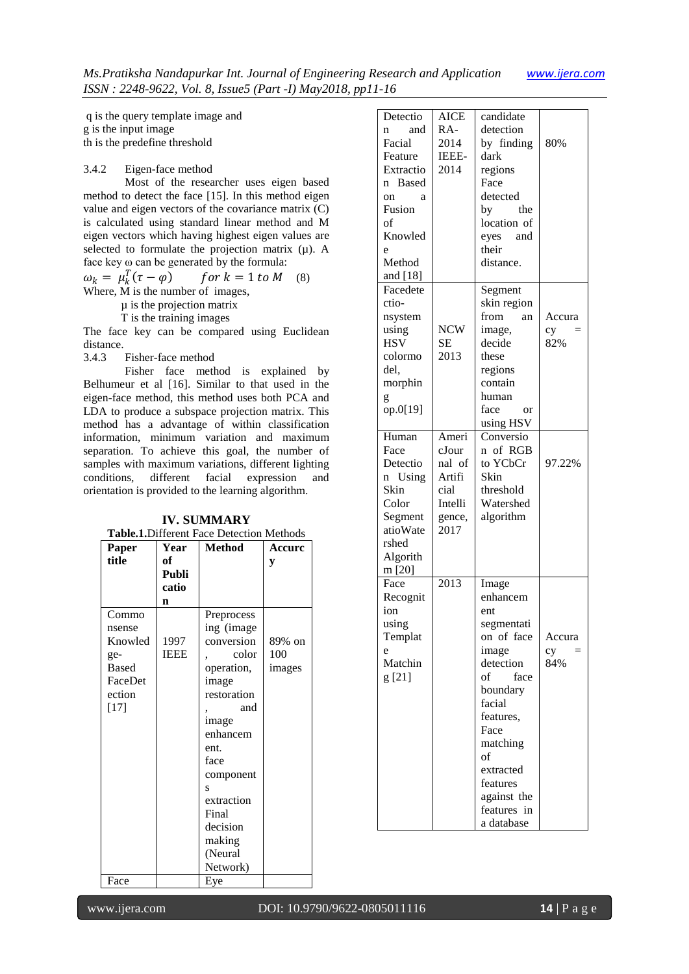q is the query template image and g is the input image th is the predefine threshold

# 3.4.2 Eigen-face method

Most of the researcher uses eigen based method to detect the face [15]. In this method eigen value and eigen vectors of the covariance matrix (C) is calculated using standard linear method and M eigen vectors which having highest eigen values are selected to formulate the projection matrix  $(\mu)$ . A face key ω can be generated by the formula:

 $\omega_k = \mu_k^T$  $for k = 1 to M$  (8)

Where, M is the number of images,

µ is the projection matrix

T is the training images

The face key can be compared using Euclidean distance.<br>3.4.3

#### Fisher-face method

Fisher face method is explained by Belhumeur et al [16]. Similar to that used in the eigen-face method, this method uses both PCA and LDA to produce a subspace projection matrix. This method has a advantage of within classification information, minimum variation and maximum separation. To achieve this goal, the number of samples with maximum variations, different lighting conditions, different facial expression and orientation is provided to the learning algorithm.

| Table.1. Different Face Detection Methods                                        |                     |                                                                                                                                                                                                                         |                         |  |  |
|----------------------------------------------------------------------------------|---------------------|-------------------------------------------------------------------------------------------------------------------------------------------------------------------------------------------------------------------------|-------------------------|--|--|
| Paper<br>title                                                                   | Year<br>оf<br>Publi | <b>Method</b>                                                                                                                                                                                                           | Accure<br>y             |  |  |
|                                                                                  | catio               |                                                                                                                                                                                                                         |                         |  |  |
|                                                                                  | n                   |                                                                                                                                                                                                                         |                         |  |  |
| Commo<br>nsense<br>Knowled<br>ge-<br><b>Based</b><br>FaceDet<br>ection<br>$[17]$ | 1997<br><b>IEEE</b> | Preprocess<br>ing (image<br>conversion<br>color<br>operation,<br>image<br>restoration<br>and<br>image<br>enhancem<br>ent.<br>face<br>component<br>S<br>extraction<br>Final<br>decision<br>making<br>(Neural<br>Network) | 89% on<br>100<br>images |  |  |
| Face                                                                             |                     | Eye                                                                                                                                                                                                                     |                         |  |  |

**IV. SUMMARY**

| Detectio<br>and<br>n<br>Facial<br>Feature<br>Extractio<br>n Based<br>on<br>a<br>Fusion<br>of<br>Knowled<br>e<br>Method<br>and [18] | <b>AICE</b><br>RA-<br>2014<br>IEEE-<br>2014                             | candidate<br>detection<br>by finding<br>dark<br>regions<br>Face<br>detected<br>the<br>by<br>location of<br>eyes and<br>their<br>distance.                                                                                  | 80%                 |
|------------------------------------------------------------------------------------------------------------------------------------|-------------------------------------------------------------------------|----------------------------------------------------------------------------------------------------------------------------------------------------------------------------------------------------------------------------|---------------------|
| Facedete<br>ctio-<br>nsystem<br>using<br><b>HSV</b><br>colormo<br>del.<br>morphin<br>g<br>op.0[19]                                 | <b>NCW</b><br><b>SE</b><br>2013                                         | Segment<br>skin region<br>from<br>an<br>image,<br>decide<br>these<br>regions<br>contain<br>human<br>face<br><sub>or</sub><br>using HSV                                                                                     | Accura<br>cy<br>82% |
| Human<br>Face<br>Detectio<br>Using<br>n<br>Skin<br>Color<br>Segment<br>atioWate<br>rshed<br>Algorith<br>m [20]                     | Ameri<br>cJour<br>nal of<br>Artifi<br>cial<br>Intelli<br>gence,<br>2017 | Conversio<br>n of RGB<br>to YCbCr<br>Skin<br>threshold<br>Watershed<br>algorithm                                                                                                                                           | 97.22%              |
| Face<br>Recognit<br>ion<br>using<br>Templat<br>e<br>Matchin<br>g[21]                                                               | 2013                                                                    | Image<br>enhancem<br>ent<br>segmentati<br>on of face<br>image<br>detection<br>of<br>face<br>boundary<br>facial<br>features,<br>Face<br>matching<br>οf<br>extracted<br>features<br>against the<br>features in<br>a database | Accura<br>cy<br>84% |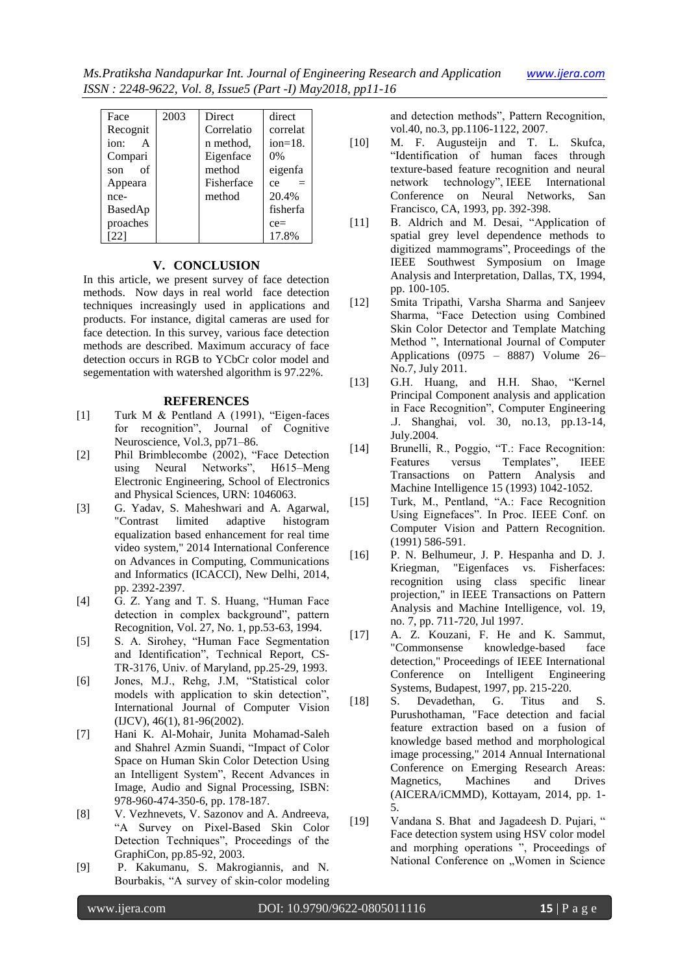| Face      | 2003 | <b>Direct</b> | direct       |
|-----------|------|---------------|--------------|
| Recognit  |      | Correlatio    | correlat     |
| ion:<br>A |      | n method,     | $ion = 18$ . |
| Compari   |      | Eigenface     | $0\%$        |
| of<br>son |      | method        | eigenfa      |
| Appeara   |      | Fisherface    | $=$<br>ce    |
| nce-      |      | method        | 20.4%        |
| BasedAp   |      |               | fisherfa     |
| proaches  |      |               | $ce=$        |
| 221       |      |               | 17.8%        |

# **V. CONCLUSION**

In this article, we present survey of face detection methods. Now days in real world face detection techniques increasingly used in applications and products. For instance, digital cameras are used for face detection. In this survey, various face detection methods are described. Maximum accuracy of face detection occurs in RGB to YCbCr color model and segementation with watershed algorithm is 97.22%.

# **REFERENCES**

- [1] Turk M & Pentland A (1991), "Eigen-faces for recognition", Journal of Cognitive Neuroscience, Vol.3, pp71–86.
- [2] Phil Brimblecombe (2002), "Face Detection using Neural Networks", H615–Meng Electronic Engineering, School of Electronics and Physical Sciences, URN: 1046063.
- [3] G. Yadav, S. Maheshwari and A. Agarwal, "Contrast limited adaptive histogram equalization based enhancement for real time video system," 2014 International Conference on Advances in Computing, Communications and Informatics (ICACCI), New Delhi, 2014, pp. 2392-2397.
- [4] G. Z. Yang and T. S. Huang, "Human Face detection in complex background", pattern Recognition, Vol. 27, No. 1, pp.53-63, 1994.
- [5] S. A. Sirohey, "Human Face Segmentation and Identification", Technical Report, CS-TR-3176, Univ. of Maryland, pp.25-29, 1993.
- [6] Jones, M.J., Rehg, J.M, "Statistical color models with application to skin detection", International Journal of Computer Vision (IJCV), 46(1), 81-96(2002).
- [7] Hani K. Al-Mohair, Junita Mohamad-Saleh and Shahrel Azmin Suandi, "Impact of Color Space on Human Skin Color Detection Using an Intelligent System", Recent Advances in Image, Audio and Signal Processing, ISBN: 978-960-474-350-6, pp. 178-187.
- [8] V. Vezhnevets, V. Sazonov and A. Andreeva, "A Survey on Pixel-Based Skin Color Detection Techniques", Proceedings of the GraphiCon, pp.85-92, 2003.
- [9] P. Kakumanu, S. Makrogiannis, and N. Bourbakis, "A survey of skin-color modeling

and detection methods", Pattern Recognition, vol.40, no.3, pp.1106-1122, 2007.

- [10] M. F. Augusteijn and T. L. Skufca, "Identification of human faces through texture-based feature recognition and neural network technology", IEEE International Conference on Neural Networks, San Francisco, CA, 1993, pp. 392-398.
- [11] B. Aldrich and M. Desai, "Application of spatial grey level dependence methods to digitized mammograms", Proceedings of the IEEE Southwest Symposium on Image Analysis and Interpretation, Dallas, TX, 1994, pp. 100-105.
- [12] Smita Tripathi, Varsha Sharma and Sanjeev Sharma, "Face Detection using Combined Skin Color Detector and Template Matching Method ", International Journal of Computer Applications (0975 – 8887) Volume 26– No.7, July 2011.
- [13] G.H. Huang, and H.H. Shao, "Kernel Principal Component analysis and application in Face Recognition", Computer Engineering .J. Shanghai, vol. 30, no.13, pp.13-14, July.2004.
- [14] Brunelli, R., Poggio, "T.: Face Recognition: Features versus Templates", IEEE Transactions on Pattern Analysis and Machine Intelligence 15 (1993) 1042-1052.
- [15] Turk, M., Pentland, "A.: Face Recognition Using Eignefaces". In Proc. IEEE Conf. on Computer Vision and Pattern Recognition. (1991) 586-591.
- [16] P. N. Belhumeur, J. P. Hespanha and D. J. Kriegman, "Eigenfaces vs. Fisherfaces: recognition using class specific linear projection," in IEEE Transactions on Pattern Analysis and Machine Intelligence, vol. 19, no. 7, pp. 711-720, Jul 1997.
- [17] A. Z. Kouzani, F. He and K. Sammut, "Commonsense knowledge-based face detection," Proceedings of IEEE International Conference on Intelligent Engineering Systems, Budapest, 1997, pp. 215-220.
- [18] S. Devadethan, G. Titus and S. Purushothaman, "Face detection and facial feature extraction based on a fusion of knowledge based method and morphological image processing," 2014 Annual International Conference on Emerging Research Areas: Magnetics, Machines and Drives (AICERA/iCMMD), Kottayam, 2014, pp. 1- 5.
- [19] Vandana S. Bhat and Jagadeesh D. Pujari, " Face detection system using HSV color model and morphing operations ", Proceedings of National Conference on "Women in Science